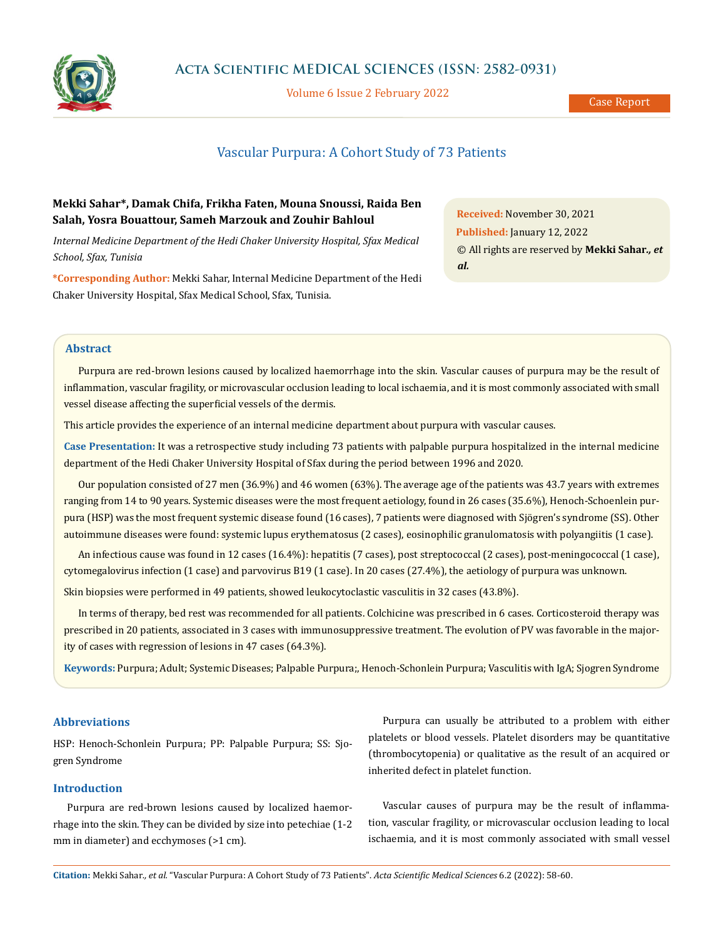

Volume 6 Issue 2 February 2022

# Vascular Purpura: A Cohort Study of 73 Patients

## **Mekki Sahar\*, Damak Chifa, Frikha Faten, Mouna Snoussi, Raida Ben Salah, Yosra Bouattour, Sameh Marzouk and Zouhir Bahloul**

*Internal Medicine Department of the Hedi Chaker University Hospital, Sfax Medical School, Sfax, Tunisia*

**\*Corresponding Author:** Mekki Sahar, Internal Medicine Department of the Hedi Chaker University Hospital, Sfax Medical School, Sfax, Tunisia.

**Received:** November 30, 2021 **Published:** January 12, 2022 © All rights are reserved by **Mekki Sahar***., et al.*

#### **Abstract**

Purpura are red-brown lesions caused by localized haemorrhage into the skin. Vascular causes of purpura may be the result of inflammation, vascular fragility, or microvascular occlusion leading to local ischaemia, and it is most commonly associated with small vessel disease affecting the superficial vessels of the dermis.

This article provides the experience of an internal medicine department about purpura with vascular causes.

**Case Presentation:** It was a retrospective study including 73 patients with palpable purpura hospitalized in the internal medicine department of the Hedi Chaker University Hospital of Sfax during the period between 1996 and 2020.

Our population consisted of 27 men (36.9%) and 46 women (63%). The average age of the patients was 43.7 years with extremes ranging from 14 to 90 years. Systemic diseases were the most frequent aetiology, found in 26 cases (35.6%), Henoch-Schoenlein purpura (HSP) was the most frequent systemic disease found (16 cases), 7 patients were diagnosed with Sjögren's syndrome (SS). Other autoimmune diseases were found: systemic lupus erythematosus (2 cases), eosinophilic granulomatosis with polyangiitis (1 case).

An infectious cause was found in 12 cases (16.4%): hepatitis (7 cases), post streptococcal (2 cases), post-meningococcal (1 case), cytomegalovirus infection (1 case) and parvovirus B19 (1 case). In 20 cases (27.4%), the aetiology of purpura was unknown.

Skin biopsies were performed in 49 patients, showed leukocytoclastic vasculitis in 32 cases (43.8%).

In terms of therapy, bed rest was recommended for all patients. Colchicine was prescribed in 6 cases. Corticosteroid therapy was prescribed in 20 patients, associated in 3 cases with immunosuppressive treatment. The evolution of PV was favorable in the majority of cases with regression of lesions in 47 cases (64.3%).

**Keywords:** Purpura; Adult; Systemic Diseases; Palpable Purpura;, Henoch-Schonlein Purpura; Vasculitis with IgA; Sjogren Syndrome

### **Abbreviations**

HSP: Henoch-Schonlein Purpura; PP: Palpable Purpura; SS: Sjogren Syndrome

## **Introduction**

Purpura are red-brown lesions caused by localized haemorrhage into the skin. They can be divided by size into petechiae (1-2 mm in diameter) and ecchymoses (>1 cm).

Purpura can usually be attributed to a problem with either platelets or blood vessels. Platelet disorders may be quantitative (thrombocytopenia) or qualitative as the result of an acquired or inherited defect in platelet function.

Vascular causes of purpura may be the result of inflammation, vascular fragility, or microvascular occlusion leading to local ischaemia, and it is most commonly associated with small vessel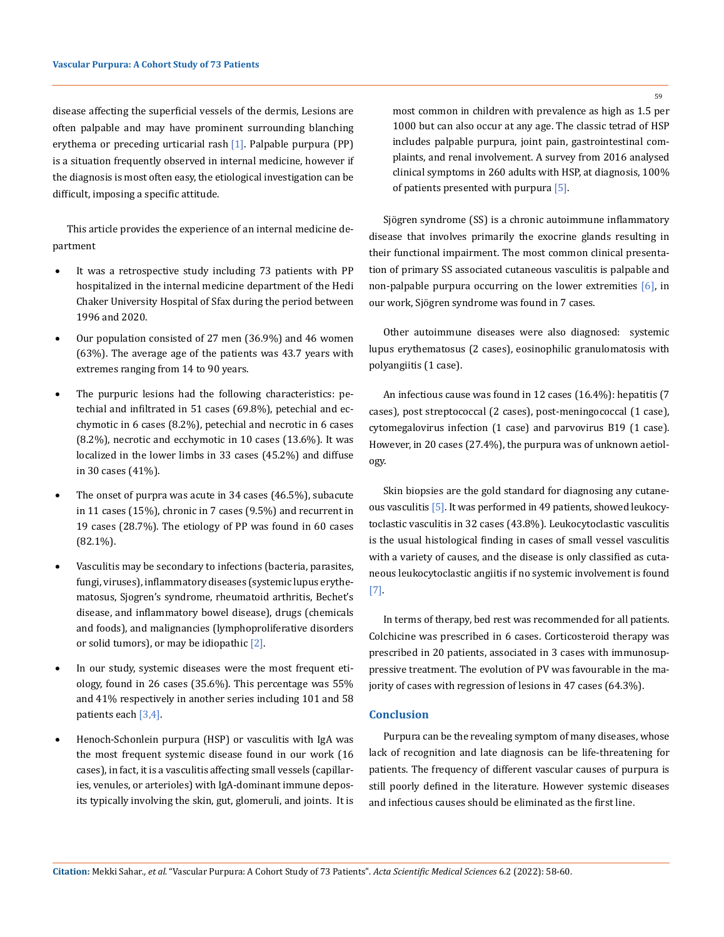disease affecting the superficial vessels of the dermis, Lesions are often palpable and may have prominent surrounding blanching erythema or preceding urticarial rash [1]. Palpable purpura (PP) is a situation frequently observed in internal medicine, however if the diagnosis is most often easy, the etiological investigation can be difficult, imposing a specific attitude.

This article provides the experience of an internal medicine department

- It was a retrospective study including 73 patients with PP hospitalized in the internal medicine department of the Hedi Chaker University Hospital of Sfax during the period between 1996 and 2020.
- Our population consisted of 27 men (36.9%) and 46 women (63%). The average age of the patients was 43.7 years with extremes ranging from 14 to 90 years.
- The purpuric lesions had the following characteristics: petechial and infiltrated in 51 cases (69.8%), petechial and ecchymotic in 6 cases (8.2%), petechial and necrotic in 6 cases (8.2%), necrotic and ecchymotic in 10 cases (13.6%). It was localized in the lower limbs in 33 cases (45.2%) and diffuse in 30 cases (41%).
- The onset of purpra was acute in 34 cases  $(46.5\%)$ , subacute in 11 cases (15%), chronic in 7 cases (9.5%) and recurrent in 19 cases (28.7%). The etiology of PP was found in 60 cases (82.1%).
- Vasculitis may be secondary to infections (bacteria, parasites, fungi, viruses), inflammatory diseases (systemic lupus erythematosus, Sjogren's syndrome, rheumatoid arthritis, Bechet's disease, and inflammatory bowel disease), drugs (chemicals and foods), and malignancies (lymphoproliferative disorders or solid tumors), or may be idiopathic [2].
- In our study, systemic diseases were the most frequent etiology, found in 26 cases (35.6%). This percentage was 55% and 41% respectively in another series including 101 and 58 patients each [3,4].
- Henoch-Schonlein purpura (HSP) or vasculitis with IgA was the most frequent systemic disease found in our work (16 cases), in fact, it is a vasculitis affecting small vessels (capillaries, venules, or arterioles) with IgA-dominant immune deposits typically involving the skin, gut, glomeruli, and joints. It is

most common in children with prevalence as high as 1.5 per 1000 but can also occur at any age. The classic tetrad of HSP includes palpable purpura, joint pain, gastrointestinal complaints, and renal involvement. A survey from 2016 analysed clinical symptoms in 260 adults with HSP, at diagnosis, 100% of patients presented with purpura [5].

Sjögren syndrome (SS) is a chronic autoimmune inflammatory disease that involves primarily the exocrine glands resulting in their functional impairment. The most common clinical presentation of primary SS associated cutaneous vasculitis is palpable and non-palpable purpura occurring on the lower extremities [6], in our work, Sjögren syndrome was found in 7 cases.

Other autoimmune diseases were also diagnosed: systemic lupus erythematosus (2 cases), eosinophilic granulomatosis with polyangiitis (1 case).

An infectious cause was found in 12 cases (16.4%): hepatitis (7 cases), post streptococcal (2 cases), post-meningococcal (1 case), cytomegalovirus infection (1 case) and parvovirus B19 (1 case). However, in 20 cases (27.4%), the purpura was of unknown aetiology.

Skin biopsies are the gold standard for diagnosing any cutaneous vasculitis [5]. It was performed in 49 patients, showed leukocytoclastic vasculitis in 32 cases (43.8%). Leukocytoclastic vasculitis is the usual histological finding in cases of small vessel vasculitis with a variety of causes, and the disease is only classified as cutaneous leukocytoclastic angiitis if no systemic involvement is found [7].

In terms of therapy, bed rest was recommended for all patients. Colchicine was prescribed in 6 cases. Corticosteroid therapy was prescribed in 20 patients, associated in 3 cases with immunosuppressive treatment. The evolution of PV was favourable in the majority of cases with regression of lesions in 47 cases (64.3%).

#### **Conclusion**

Purpura can be the revealing symptom of many diseases, whose lack of recognition and late diagnosis can be life-threatening for patients. The frequency of different vascular causes of purpura is still poorly defined in the literature. However systemic diseases and infectious causes should be eliminated as the first line.

59